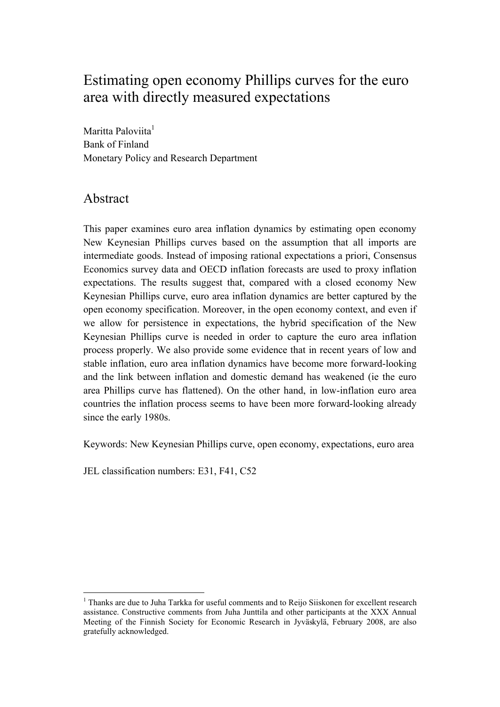### Estimating open economy Phillips curves for the euro area with directly measured expectations

Maritta Paloviita<sup>1</sup> Bank of Finland Monetary Policy and Research Department

### Abstract

This paper examines euro area inflation dynamics by estimating open economy New Keynesian Phillips curves based on the assumption that all imports are intermediate goods. Instead of imposing rational expectations a priori, Consensus Economics survey data and OECD inflation forecasts are used to proxy inflation expectations. The results suggest that, compared with a closed economy New Keynesian Phillips curve, euro area inflation dynamics are better captured by the open economy specification. Moreover, in the open economy context, and even if we allow for persistence in expectations, the hybrid specification of the New Keynesian Phillips curve is needed in order to capture the euro area inflation process properly. We also provide some evidence that in recent years of low and stable inflation, euro area inflation dynamics have become more forward-looking and the link between inflation and domestic demand has weakened (ie the euro area Phillips curve has flattened). On the other hand, in low-inflation euro area countries the inflation process seems to have been more forward-looking already since the early 1980s.

Keywords: New Keynesian Phillips curve, open economy, expectations, euro area

JEL classification numbers: E31, F41, C52

 $\overline{a}$ <sup>1</sup> Thanks are due to Juha Tarkka for useful comments and to Reijo Siiskonen for excellent research assistance. Constructive comments from Juha Junttila and other participants at the XXX Annual Meeting of the Finnish Society for Economic Research in Jyväskylä, February 2008, are also gratefully acknowledged.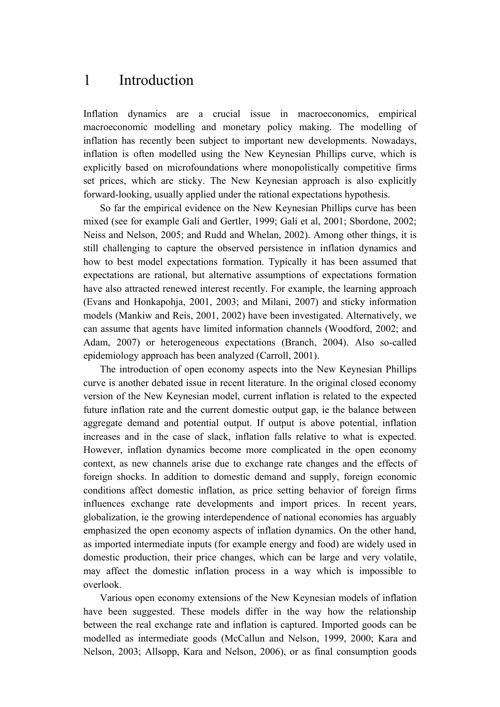### 1 Introduction

Inflation dynamics are a crucial issue in macroeconomics, empirical macroeconomic modelling and monetary policy making. The modelling of inflation has recently been subject to important new developments. Nowadays, inflation is often modelled using the New Keynesian Phillips curve, which is explicitly based on microfoundations where monopolistically competitive firms set prices, which are sticky. The New Keynesian approach is also explicitly forward-looking, usually applied under the rational expectations hypothesis.

So far the empirical evidence on the New Keynesian Phillips curve has been mixed (see for example Galí and Gertler, 1999; Galí et al, 2001; Sbordone, 2002; Neiss and Nelson, 2005; and Rudd and Whelan, 2002). Among other things, it is still challenging to capture the observed persistence in inflation dynamics and how to best model expectations formation. Typically it has been assumed that expectations are rational, but alternative assumptions of expectations formation have also attracted renewed interest recently. For example, the learning approach (Evans and Honkapohja, 2001, 2003; and Milani, 2007) and sticky information models (Mankiw and Reis, 2001, 2002) have been investigated. Alternatively, we can assume that agents have limited information channels (Woodford, 2002; and Adam, 2007) or heterogeneous expectations (Branch, 2004). Also so-called epidemiology approach has been analyzed (Carroll, 2001).

The introduction of open economy aspects into the New Keynesian Phillips curve is another debated issue in recent literature. In the original closed economy version of the New Keynesian model, current inflation is related to the expected future inflation rate and the current domestic output gap, ie the balance between aggregate demand and potential output. If output is above potential, inflation increases and in the case of slack, inflation falls relative to what is expected. However, inflation dynamics become more complicated in the open economy context, as new channels arise due to exchange rate changes and the effects of foreign shocks. In addition to domestic demand and supply, foreign economic conditions affect domestic inflation, as price setting behavior of foreign firms influences exchange rate developments and import prices. In recent years, globalization, ie the growing interdependence of national economies has arguably emphasized the open economy aspects of inflation dynamics. On the other hand, as imported intermediate inputs (for example energy and food) are widely used in domestic production, their price changes, which can be large and very volatile, may affect the domestic inflation process in a way which is impossible to overlook.

Various open economy extensions of the New Keynesian models of inflation have been suggested. These models differ in the way how the relationship between the real exchange rate and inflation is captured. Imported goods can be modelled as intermediate goods (McCallun and Nelson, 1999, 2000; Kara and Nelson, 2003; Allsopp, Kara and Nelson, 2006), or as final consumption goods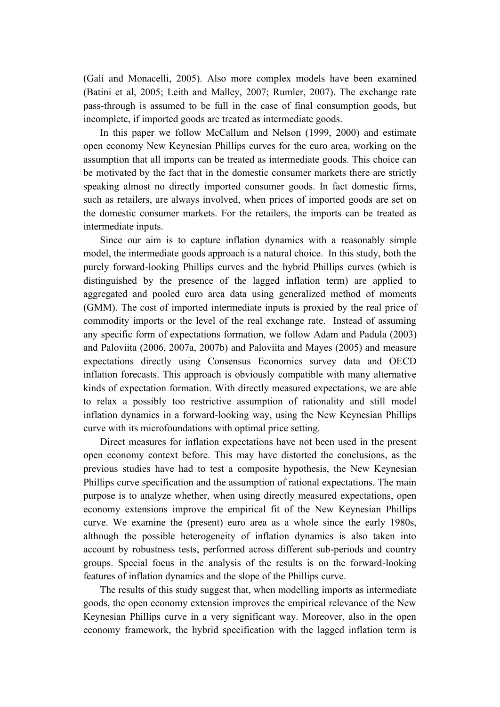(Galí and Monacelli, 2005). Also more complex models have been examined (Batini et al, 2005; Leith and Malley, 2007; Rumler, 2007). The exchange rate pass-through is assumed to be full in the case of final consumption goods, but incomplete, if imported goods are treated as intermediate goods.

In this paper we follow McCallum and Nelson (1999, 2000) and estimate open economy New Keynesian Phillips curves for the euro area, working on the assumption that all imports can be treated as intermediate goods. This choice can be motivated by the fact that in the domestic consumer markets there are strictly speaking almost no directly imported consumer goods. In fact domestic firms, such as retailers, are always involved, when prices of imported goods are set on the domestic consumer markets. For the retailers, the imports can be treated as intermediate inputs.

Since our aim is to capture inflation dynamics with a reasonably simple model, the intermediate goods approach is a natural choice. In this study, both the purely forward-looking Phillips curves and the hybrid Phillips curves (which is distinguished by the presence of the lagged inflation term) are applied to aggregated and pooled euro area data using generalized method of moments (GMM). The cost of imported intermediate inputs is proxied by the real price of commodity imports or the level of the real exchange rate. Instead of assuming any specific form of expectations formation, we follow Adam and Padula (2003) and Paloviita (2006, 2007a, 2007b) and Paloviita and Mayes (2005) and measure expectations directly using Consensus Economics survey data and OECD inflation forecasts. This approach is obviously compatible with many alternative kinds of expectation formation. With directly measured expectations, we are able to relax a possibly too restrictive assumption of rationality and still model inflation dynamics in a forward-looking way, using the New Keynesian Phillips curve with its microfoundations with optimal price setting.

Direct measures for inflation expectations have not been used in the present open economy context before. This may have distorted the conclusions, as the previous studies have had to test a composite hypothesis, the New Keynesian Phillips curve specification and the assumption of rational expectations. The main purpose is to analyze whether, when using directly measured expectations, open economy extensions improve the empirical fit of the New Keynesian Phillips curve. We examine the (present) euro area as a whole since the early 1980s, although the possible heterogeneity of inflation dynamics is also taken into account by robustness tests, performed across different sub-periods and country groups. Special focus in the analysis of the results is on the forward-looking features of inflation dynamics and the slope of the Phillips curve.

The results of this study suggest that, when modelling imports as intermediate goods, the open economy extension improves the empirical relevance of the New Keynesian Phillips curve in a very significant way. Moreover, also in the open economy framework, the hybrid specification with the lagged inflation term is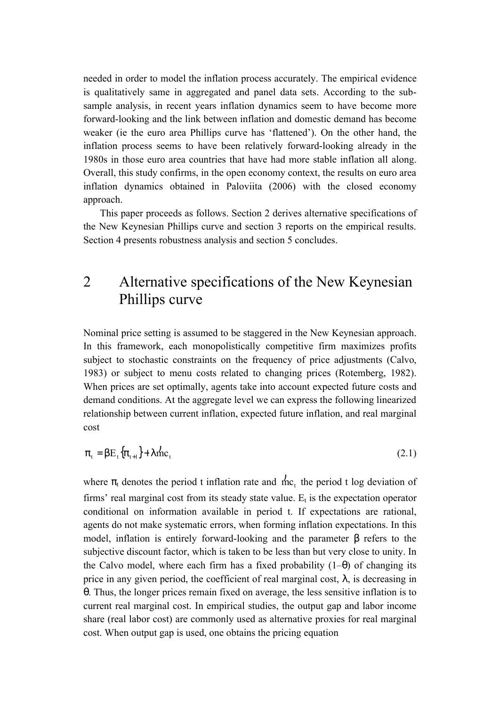needed in order to model the inflation process accurately. The empirical evidence is qualitatively same in aggregated and panel data sets. According to the subsample analysis, in recent years inflation dynamics seem to have become more forward-looking and the link between inflation and domestic demand has become weaker (ie the euro area Phillips curve has 'flattened'). On the other hand, the inflation process seems to have been relatively forward-looking already in the 1980s in those euro area countries that have had more stable inflation all along. Overall, this study confirms, in the open economy context, the results on euro area inflation dynamics obtained in Paloviita (2006) with the closed economy approach.

This paper proceeds as follows. Section 2 derives alternative specifications of the New Keynesian Phillips curve and section 3 reports on the empirical results. Section 4 presents robustness analysis and section 5 concludes.

## 2 Alternative specifications of the New Keynesian Phillips curve

Nominal price setting is assumed to be staggered in the New Keynesian approach. In this framework, each monopolistically competitive firm maximizes profits subject to stochastic constraints on the frequency of price adjustments (Calvo, 1983) or subject to menu costs related to changing prices (Rotemberg, 1982). When prices are set optimally, agents take into account expected future costs and demand conditions. At the aggregate level we can express the following linearized relationship between current inflation, expected future inflation, and real marginal cost

$$
\pi_{t} = \beta E_{t} \{\pi_{t+1}\} + \lambda \dot{m} c_{t}
$$
\n(2.1)

where  $\pi_t$  denotes the period t inflation rate and  $\mathring{mc}_t$  the period t log deviation of firms' real marginal cost from its steady state value.  $E_t$  is the expectation operator conditional on information available in period t. If expectations are rational, agents do not make systematic errors, when forming inflation expectations. In this model, inflation is entirely forward-looking and the parameter β refers to the subjective discount factor, which is taken to be less than but very close to unity. In the Calvo model, where each firm has a fixed probability  $(1-\theta)$  of changing its price in any given period, the coefficient of real marginal cost,  $\lambda$ , is decreasing in θ. Thus, the longer prices remain fixed on average, the less sensitive inflation is to current real marginal cost. In empirical studies, the output gap and labor income share (real labor cost) are commonly used as alternative proxies for real marginal cost. When output gap is used, one obtains the pricing equation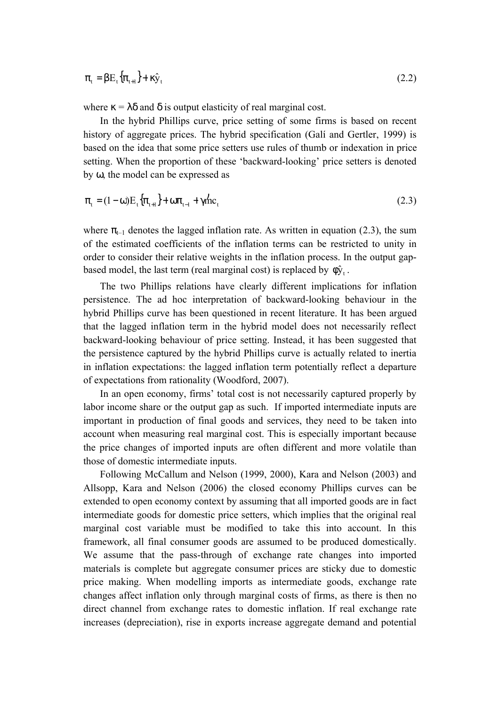$$
\pi_{t} = \beta E_{t} \{ \pi_{t+1} \} + \kappa \hat{y}_{t} \tag{2.2}
$$

where  $\kappa = \lambda \delta$  and  $\delta$  is output elasticity of real marginal cost.

In the hybrid Phillips curve, price setting of some firms is based on recent history of aggregate prices. The hybrid specification (Galí and Gertler, 1999) is based on the idea that some price setters use rules of thumb or indexation in price setting. When the proportion of these 'backward-looking' price setters is denoted by ω, the model can be expressed as

$$
\pi_{t} = (1 - \omega) E_{t} \{ \pi_{t+1} \} + \omega \pi_{t-1} + \gamma m c_{t}
$$
\n(2.3)

where  $\pi_{t-1}$  denotes the lagged inflation rate. As written in equation (2.3), the sum of the estimated coefficients of the inflation terms can be restricted to unity in order to consider their relative weights in the inflation process. In the output gapbased model, the last term (real marginal cost) is replaced by  $\phi \hat{y}_t$ .

The two Phillips relations have clearly different implications for inflation persistence. The ad hoc interpretation of backward-looking behaviour in the hybrid Phillips curve has been questioned in recent literature. It has been argued that the lagged inflation term in the hybrid model does not necessarily reflect backward-looking behaviour of price setting. Instead, it has been suggested that the persistence captured by the hybrid Phillips curve is actually related to inertia in inflation expectations: the lagged inflation term potentially reflect a departure of expectations from rationality (Woodford, 2007).

In an open economy, firms' total cost is not necessarily captured properly by labor income share or the output gap as such. If imported intermediate inputs are important in production of final goods and services, they need to be taken into account when measuring real marginal cost. This is especially important because the price changes of imported inputs are often different and more volatile than those of domestic intermediate inputs.

Following McCallum and Nelson (1999, 2000), Kara and Nelson (2003) and Allsopp, Kara and Nelson (2006) the closed economy Phillips curves can be extended to open economy context by assuming that all imported goods are in fact intermediate goods for domestic price setters, which implies that the original real marginal cost variable must be modified to take this into account. In this framework, all final consumer goods are assumed to be produced domestically. We assume that the pass-through of exchange rate changes into imported materials is complete but aggregate consumer prices are sticky due to domestic price making. When modelling imports as intermediate goods, exchange rate changes affect inflation only through marginal costs of firms, as there is then no direct channel from exchange rates to domestic inflation. If real exchange rate increases (depreciation), rise in exports increase aggregate demand and potential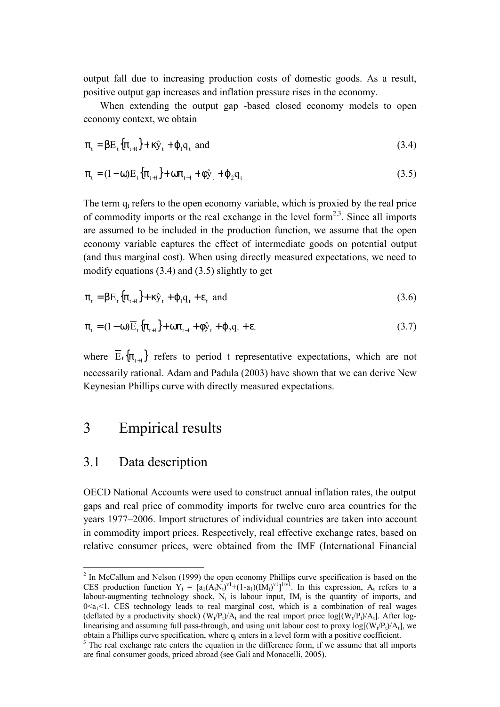output fall due to increasing production costs of domestic goods. As a result, positive output gap increases and inflation pressure rises in the economy.

When extending the output gap -based closed economy models to open economy context, we obtain

$$
\pi_{t} = \beta E_{t} \{ \pi_{t+1} \} + \kappa \hat{y}_{t} + \varphi_{1} q_{t} \text{ and}
$$
\n(3.4)

$$
\pi_{t} = (1 - \omega) E_{t} \{ \pi_{t+1} \} + \omega \pi_{t-1} + \phi \hat{y}_{t} + \phi_{2} q_{t}
$$
\n(3.5)

The term  $q_t$  refers to the open economy variable, which is proxied by the real price of commodity imports or the real exchange in the level form<sup>2,3</sup>. Since all imports are assumed to be included in the production function, we assume that the open economy variable captures the effect of intermediate goods on potential output (and thus marginal cost). When using directly measured expectations, we need to modify equations  $(3.4)$  and  $(3.5)$  slightly to get

$$
\pi_{t} = \beta \overline{E}_{t} \{\pi_{t+1}\} + \kappa \hat{y}_{t} + \varphi_{1} q_{t} + \varepsilon_{t} \text{ and}
$$
\n(3.6)

$$
\pi_{t} = (1 - \omega)\overline{E}_{t} \{\pi_{t+1}\} + \omega \pi_{t-1} + \phi \hat{y}_{t} + \phi_{2} q_{t} + \varepsilon_{t}
$$
\n(3.7)

where  $\overline{E}_t\{\pi_{t+1}\}$  refers to period t representative expectations, which are not necessarily rational. Adam and Padula (2003) have shown that we can derive New Keynesian Phillips curve with directly measured expectations.

### 3 Empirical results

### 3.1 Data description

OECD National Accounts were used to construct annual inflation rates, the output gaps and real price of commodity imports for twelve euro area countries for the years 1977–2006. Import structures of individual countries are taken into account in commodity import prices. Respectively, real effective exchange rates, based on relative consumer prices, were obtained from the IMF (International Financial

<sup>&</sup>lt;sup>2</sup> In McCallum and Nelson (1999) the open economy Phillips curve specification is based on the CES production function  $Y_t = [a_1(A_tN_t)^{v_1}+(1-a_1)(IM_t)^{v_1}]^{1/v_1}$ . In this expression,  $A_t$  refers to a labour-augmenting technology shock,  $N_t$  is labour input, IM<sub>t</sub> is the quantity of imports, and  $0 \le a_1 \le 1$ . CES technology leads to real marginal cost, which is a combination of real wages (deflated by a productivity shock)  $(W_t/P_t)/A_t$  and the real import price  $log[(W_t/P_t)/A_t]$ . After loglinearising and assuming full pass-through, and using unit labour cost to proxy  $log[(W_t/P_t)/A_t]$ , we obtain a Phillips curve specification, where  $q_t$  enters in a level form with a positive coefficient.

<sup>&</sup>lt;sup>3</sup> The real exchange rate enters the equation in the difference form, if we assume that all imports are final consumer goods, priced abroad (see Galí and Monacelli, 2005).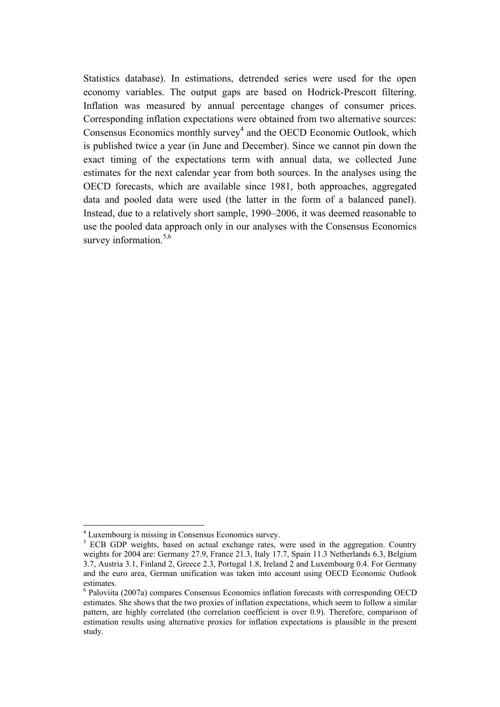Statistics database). In estimations, detrended series were used for the open economy variables. The output gaps are based on Hodrick-Prescott filtering. Inflation was measured by annual percentage changes of consumer prices. Corresponding inflation expectations were obtained from two alternative sources: Consensus Economics monthly survey<sup>4</sup> and the OECD Economic Outlook, which is published twice a year (in June and December). Since we cannot pin down the exact timing of the expectations term with annual data, we collected June estimates for the next calendar year from both sources. In the analyses using the OECD forecasts, which are available since 1981, both approaches, aggregated data and pooled data were used (the latter in the form of a balanced panel). Instead, due to a relatively short sample, 1990–2006, it was deemed reasonable to use the pooled data approach only in our analyses with the Consensus Economics survey information.<sup>5,6</sup>

 4 Luxembourg is missing in Consensus Economics survey.

<sup>&</sup>lt;sup>5</sup> ECB GDP weights, based on actual exchange rates, were used in the aggregation. Country weights for 2004 are: Germany 27.9, France 21.3, Italy 17.7, Spain 11.3 Netherlands 6.3, Belgium 3.7, Austria 3.1, Finland 2, Greece 2.3, Portugal 1.8, Ireland 2 and Luxembourg 0.4. For Germany and the euro area, German unification was taken into account using OECD Economic Outlook estimates.

<sup>&</sup>lt;sup>6</sup> Paloviita (2007a) compares Consensus Economics inflation forecasts with corresponding OECD estimates. She shows that the two proxies of inflation expectations, which seem to follow a similar pattern, are highly correlated (the correlation coefficient is over 0.9). Therefore, comparison of estimation results using alternative proxies for inflation expectations is plausible in the present study.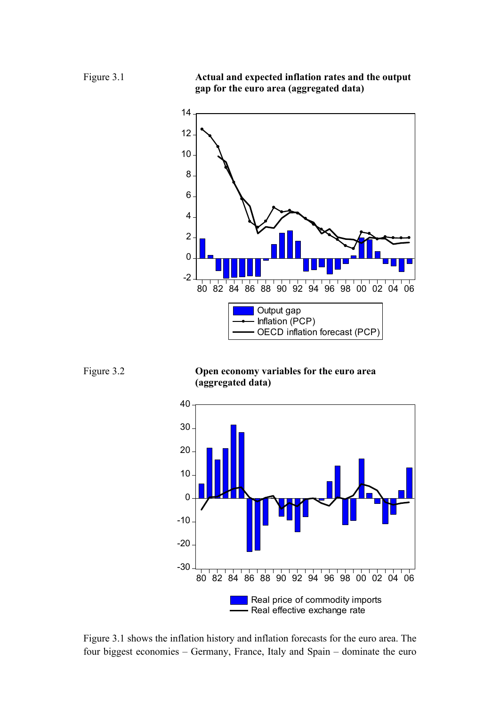

Figure 3.1 **Actual and expected inflation rates and the output gap for the euro area (aggregated data)**



Figure 3.2 **Open economy variables for the euro area (aggregated data)**



Figure 3.1 shows the inflation history and inflation forecasts for the euro area. The four biggest economies – Germany, France, Italy and Spain – dominate the euro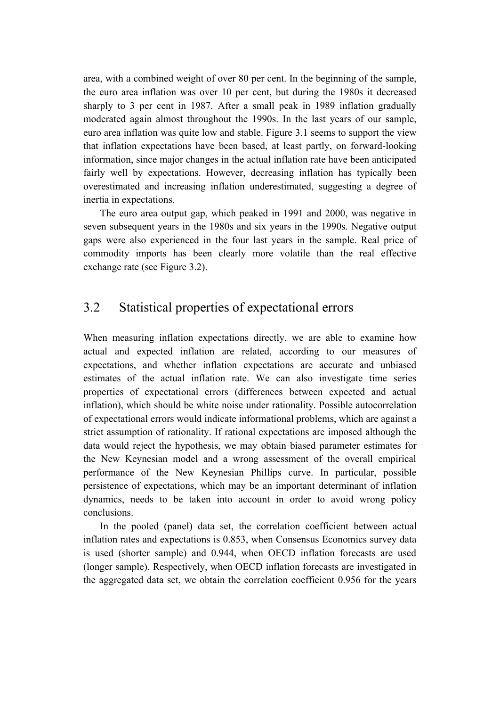area, with a combined weight of over 80 per cent. In the beginning of the sample, the euro area inflation was over 10 per cent, but during the 1980s it decreased sharply to 3 per cent in 1987. After a small peak in 1989 inflation gradually moderated again almost throughout the 1990s. In the last years of our sample, euro area inflation was quite low and stable. Figure 3.1 seems to support the view that inflation expectations have been based, at least partly, on forward-looking information, since major changes in the actual inflation rate have been anticipated fairly well by expectations. However, decreasing inflation has typically been overestimated and increasing inflation underestimated, suggesting a degree of inertia in expectations.

The euro area output gap, which peaked in 1991 and 2000, was negative in seven subsequent years in the 1980s and six years in the 1990s. Negative output gaps were also experienced in the four last years in the sample. Real price of commodity imports has been clearly more volatile than the real effective exchange rate (see Figure 3.2).

### 3.2 Statistical properties of expectational errors

When measuring inflation expectations directly, we are able to examine how actual and expected inflation are related, according to our measures of expectations, and whether inflation expectations are accurate and unbiased estimates of the actual inflation rate. We can also investigate time series properties of expectational errors (differences between expected and actual inflation), which should be white noise under rationality. Possible autocorrelation of expectational errors would indicate informational problems, which are against a strict assumption of rationality. If rational expectations are imposed although the data would reject the hypothesis, we may obtain biased parameter estimates for the New Keynesian model and a wrong assessment of the overall empirical performance of the New Keynesian Phillips curve. In particular, possible persistence of expectations, which may be an important determinant of inflation dynamics, needs to be taken into account in order to avoid wrong policy conclusions.

In the pooled (panel) data set, the correlation coefficient between actual inflation rates and expectations is 0.853, when Consensus Economics survey data is used (shorter sample) and 0.944, when OECD inflation forecasts are used (longer sample). Respectively, when OECD inflation forecasts are investigated in the aggregated data set, we obtain the correlation coefficient 0.956 for the years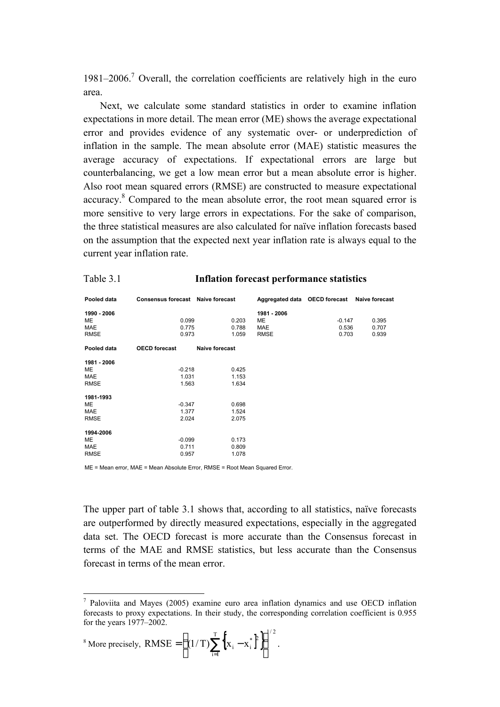1981–2006.<sup>7</sup> Overall, the correlation coefficients are relatively high in the euro area.

Next, we calculate some standard statistics in order to examine inflation expectations in more detail. The mean error (ME) shows the average expectational error and provides evidence of any systematic over- or underprediction of inflation in the sample. The mean absolute error (MAE) statistic measures the average accuracy of expectations. If expectational errors are large but counterbalancing, we get a low mean error but a mean absolute error is higher. Also root mean squared errors (RMSE) are constructed to measure expectational accuracy.<sup>8</sup> Compared to the mean absolute error, the root mean squared error is more sensitive to very large errors in expectations. For the sake of comparison, the three statistical measures are also calculated for naïve inflation forecasts based on the assumption that the expected next year inflation rate is always equal to the current year inflation rate.

#### Table 3.1 **Inflation forecast performance statistics**

| Pooled data                             | Consensus forecast Naive forecast |                         |                                                | Aggregated data OECD forecast Naive forecast |                         |
|-----------------------------------------|-----------------------------------|-------------------------|------------------------------------------------|----------------------------------------------|-------------------------|
| 1990 - 2006<br>МE<br>MAE<br><b>RMSE</b> | 0.099<br>0.775<br>0.973           | 0.203<br>0.788<br>1.059 | 1981 - 2006<br>ME<br><b>MAE</b><br><b>RMSE</b> | $-0.147$<br>0.536<br>0.703                   | 0.395<br>0.707<br>0.939 |
| Pooled data                             | <b>OECD forecast</b>              | <b>Naive forecast</b>   |                                                |                                              |                         |
| 1981 - 2006<br>ME<br>MAE<br><b>RMSE</b> | $-0.218$<br>1.031<br>1.563        | 0.425<br>1.153<br>1.634 |                                                |                                              |                         |
| 1981-1993<br>МE<br>MAE<br><b>RMSE</b>   | $-0.347$<br>1.377<br>2.024        | 0.698<br>1.524<br>2.075 |                                                |                                              |                         |
| 1994-2006<br>МE<br>MAE<br><b>RMSE</b>   | $-0.099$<br>0.711<br>0.957        | 0.173<br>0.809<br>1.078 |                                                |                                              |                         |

ME = Mean error, MAE = Mean Absolute Error, RMSE = Root Mean Squared Error.

The upper part of table 3.1 shows that, according to all statistics, naïve forecasts are outperformed by directly measured expectations, especially in the aggregated data set. The OECD forecast is more accurate than the Consensus forecast in terms of the MAE and RMSE statistics, but less accurate than the Consensus forecast in terms of the mean error.

<sup>8</sup> More precisely, RMSE = 
$$
\left( (1/T) \sum_{i=1}^{T} \left\{ x_i - x_i^* \right\}^2 \right)^{1/2}
$$
.

 $\overline{a}$ 7 Paloviita and Mayes (2005) examine euro area inflation dynamics and use OECD inflation forecasts to proxy expectations. In their study, the corresponding correlation coefficient is 0.955 for the years 1977–2002.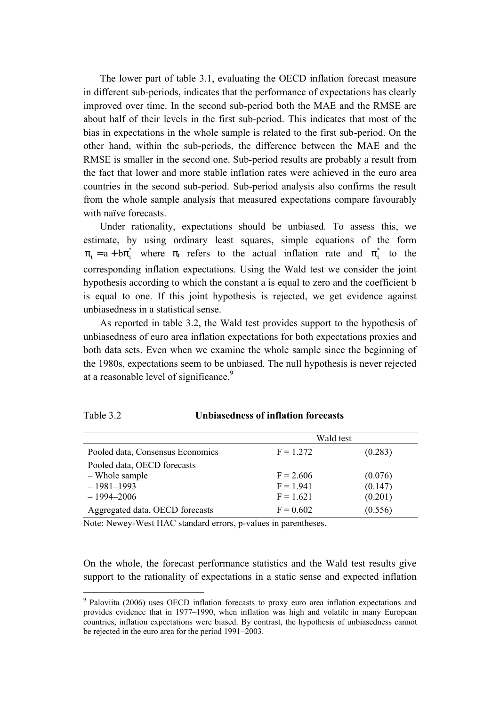The lower part of table 3.1, evaluating the OECD inflation forecast measure in different sub-periods, indicates that the performance of expectations has clearly improved over time. In the second sub-period both the MAE and the RMSE are about half of their levels in the first sub-period. This indicates that most of the bias in expectations in the whole sample is related to the first sub-period. On the other hand, within the sub-periods, the difference between the MAE and the RMSE is smaller in the second one. Sub-period results are probably a result from the fact that lower and more stable inflation rates were achieved in the euro area countries in the second sub-period. Sub-period analysis also confirms the result from the whole sample analysis that measured expectations compare favourably with naïve forecasts.

Under rationality, expectations should be unbiased. To assess this, we estimate, by using ordinary least squares, simple equations of the form  $\pi_t = a + b\pi_t^*$  where  $\pi_t$  refers to the actual inflation rate and  $\pi_t^*$  to the corresponding inflation expectations. Using the Wald test we consider the joint hypothesis according to which the constant a is equal to zero and the coefficient b is equal to one. If this joint hypothesis is rejected, we get evidence against unbiasedness in a statistical sense.

As reported in table 3.2, the Wald test provides support to the hypothesis of unbiasedness of euro area inflation expectations for both expectations proxies and both data sets. Even when we examine the whole sample since the beginning of the 1980s, expectations seem to be unbiased. The null hypothesis is never rejected at a reasonable level of significance.<sup>9</sup>

| l'able |  |  |
|--------|--|--|
|        |  |  |

 $\overline{a}$ 

#### **Unbiasedness of inflation forecasts**

|                                  | Wald test                  |                    |
|----------------------------------|----------------------------|--------------------|
| Pooled data, Consensus Economics | $F = 1.272$                | (0.283)            |
| Pooled data, OECD forecasts      |                            |                    |
| - Whole sample<br>$-1981-1993$   | $F = 2.606$<br>$F = 1.941$ | (0.076)<br>(0.147) |
| $-1994 - 2006$                   | $F = 1.621$                | (0.201)            |
| Aggregated data, OECD forecasts  | $F = 0.602$                | (0.556)            |

Note: Newey-West HAC standard errors, p-values in parentheses.

On the whole, the forecast performance statistics and the Wald test results give support to the rationality of expectations in a static sense and expected inflation

<sup>&</sup>lt;sup>9</sup> Paloviita (2006) uses OECD inflation forecasts to proxy euro area inflation expectations and provides evidence that in 1977–1990, when inflation was high and volatile in many European countries, inflation expectations were biased. By contrast, the hypothesis of unbiasedness cannot be rejected in the euro area for the period 1991–2003.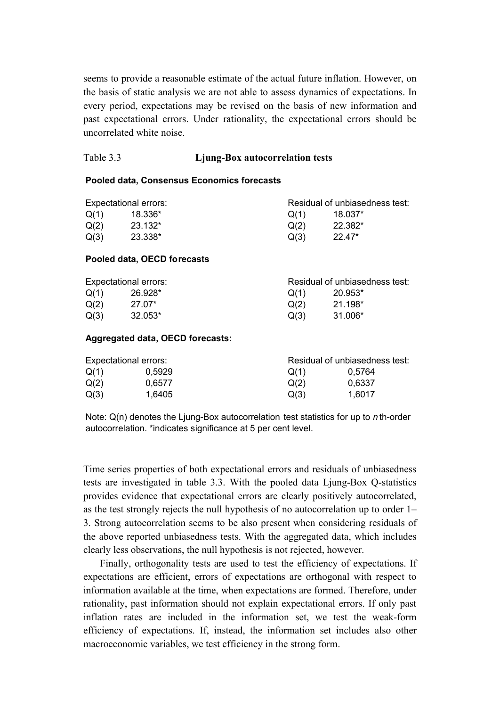seems to provide a reasonable estimate of the actual future inflation. However, on the basis of static analysis we are not able to assess dynamics of expectations. In every period, expectations may be revised on the basis of new information and past expectational errors. Under rationality, the expectational errors should be uncorrelated white noise.

#### Table 3.3 **Ljung-Box autocorrelation tests**

#### **Pooled data, Consensus Economics forecasts**

| Expectational errors: |           | Residual of unbiasedness test: |          |  |  |
|-----------------------|-----------|--------------------------------|----------|--|--|
| Q(1)                  | 18.336*   | Q(1)                           | 18.037*  |  |  |
| Q(2)                  | $23.132*$ | Q(2)                           | 22.382*  |  |  |
| Q(3)                  | 23.338*   | Q(3)                           | $22.47*$ |  |  |

#### **Pooled data, OECD forecasts**

| Expectational errors: |           |      | Residual of unbiasedness test: |
|-----------------------|-----------|------|--------------------------------|
| Q(1)                  | 26.928*   | Q(1) | 20.953*                        |
| Q(2)                  | 27 07*    | Q(2) | 21.198*                        |
| Q(3)                  | $32.053*$ | Q(3) | 31.006*                        |

#### **Aggregated data, OECD forecasts:**

| Expectational errors: |        | Residual of unbiasedness test: |        |  |  |
|-----------------------|--------|--------------------------------|--------|--|--|
| Q(1)                  | 0.5929 | Q(1)                           | 0.5764 |  |  |
| Q(2)                  | 0.6577 | Q(2)                           | 0.6337 |  |  |
| Q(3)                  | 1.6405 | Q(3)                           | 1.6017 |  |  |

Note: Q(n) denotes the Ljung-Box autocorrelation test statistics for up to *n* th-order autocorrelation. \*indicates significance at 5 per cent level.

Time series properties of both expectational errors and residuals of unbiasedness tests are investigated in table 3.3. With the pooled data Ljung-Box Q-statistics provides evidence that expectational errors are clearly positively autocorrelated, as the test strongly rejects the null hypothesis of no autocorrelation up to order 1– 3. Strong autocorrelation seems to be also present when considering residuals of the above reported unbiasedness tests. With the aggregated data, which includes clearly less observations, the null hypothesis is not rejected, however.

Finally, orthogonality tests are used to test the efficiency of expectations. If expectations are efficient, errors of expectations are orthogonal with respect to information available at the time, when expectations are formed. Therefore, under rationality, past information should not explain expectational errors. If only past inflation rates are included in the information set, we test the weak-form efficiency of expectations. If, instead, the information set includes also other macroeconomic variables, we test efficiency in the strong form.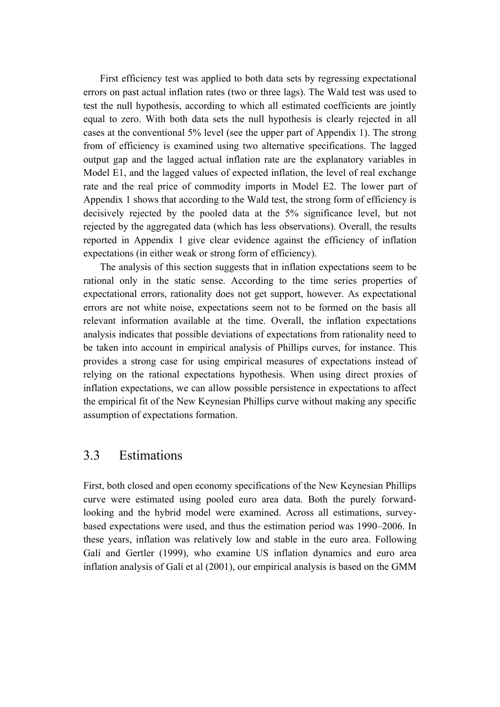First efficiency test was applied to both data sets by regressing expectational errors on past actual inflation rates (two or three lags). The Wald test was used to test the null hypothesis, according to which all estimated coefficients are jointly equal to zero. With both data sets the null hypothesis is clearly rejected in all cases at the conventional 5% level (see the upper part of Appendix 1). The strong from of efficiency is examined using two alternative specifications. The lagged output gap and the lagged actual inflation rate are the explanatory variables in Model E1, and the lagged values of expected inflation, the level of real exchange rate and the real price of commodity imports in Model E2. The lower part of Appendix 1 shows that according to the Wald test, the strong form of efficiency is decisively rejected by the pooled data at the 5% significance level, but not rejected by the aggregated data (which has less observations). Overall, the results reported in Appendix 1 give clear evidence against the efficiency of inflation expectations (in either weak or strong form of efficiency).

The analysis of this section suggests that in inflation expectations seem to be rational only in the static sense. According to the time series properties of expectational errors, rationality does not get support, however. As expectational errors are not white noise, expectations seem not to be formed on the basis all relevant information available at the time. Overall, the inflation expectations analysis indicates that possible deviations of expectations from rationality need to be taken into account in empirical analysis of Phillips curves, for instance. This provides a strong case for using empirical measures of expectations instead of relying on the rational expectations hypothesis. When using direct proxies of inflation expectations, we can allow possible persistence in expectations to affect the empirical fit of the New Keynesian Phillips curve without making any specific assumption of expectations formation.

### 3.3 Estimations

First, both closed and open economy specifications of the New Keynesian Phillips curve were estimated using pooled euro area data. Both the purely forwardlooking and the hybrid model were examined. Across all estimations, surveybased expectations were used, and thus the estimation period was 1990–2006. In these years, inflation was relatively low and stable in the euro area. Following Galí and Gertler (1999), who examine US inflation dynamics and euro area inflation analysis of Galí et al (2001), our empirical analysis is based on the GMM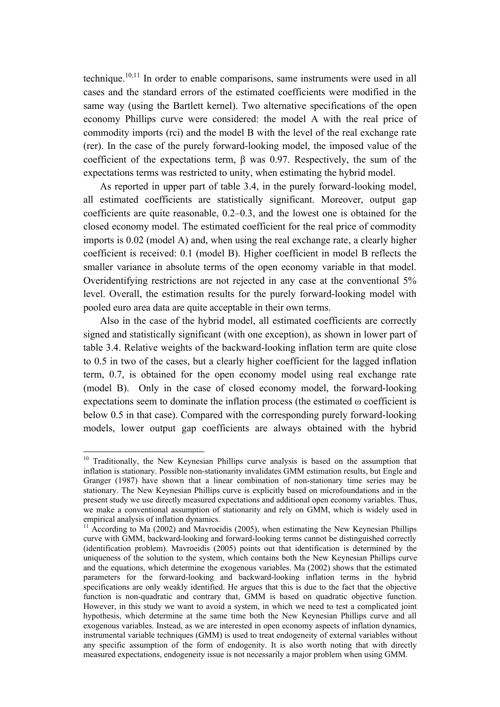technique.<sup>10,11</sup> In order to enable comparisons, same instruments were used in all cases and the standard errors of the estimated coefficients were modified in the same way (using the Bartlett kernel). Two alternative specifications of the open economy Phillips curve were considered: the model A with the real price of commodity imports (rci) and the model B with the level of the real exchange rate (rer). In the case of the purely forward-looking model, the imposed value of the coefficient of the expectations term, β was 0.97. Respectively, the sum of the expectations terms was restricted to unity, when estimating the hybrid model.

As reported in upper part of table 3.4, in the purely forward-looking model, all estimated coefficients are statistically significant. Moreover, output gap coefficients are quite reasonable, 0.2–0.3, and the lowest one is obtained for the closed economy model. The estimated coefficient for the real price of commodity imports is 0.02 (model A) and, when using the real exchange rate, a clearly higher coefficient is received: 0.1 (model B). Higher coefficient in model B reflects the smaller variance in absolute terms of the open economy variable in that model. Overidentifying restrictions are not rejected in any case at the conventional 5% level. Overall, the estimation results for the purely forward-looking model with pooled euro area data are quite acceptable in their own terms.

Also in the case of the hybrid model, all estimated coefficients are correctly signed and statistically significant (with one exception), as shown in lower part of table 3.4. Relative weights of the backward-looking inflation term are quite close to 0.5 in two of the cases, but a clearly higher coefficient for the lagged inflation term, 0.7, is obtained for the open economy model using real exchange rate (model B). Only in the case of closed economy model, the forward-looking expectations seem to dominate the inflation process (the estimated ω coefficient is below 0.5 in that case). Compared with the corresponding purely forward-looking models, lower output gap coefficients are always obtained with the hybrid

 $\overline{a}$ 

<sup>&</sup>lt;sup>10</sup> Traditionally, the New Keynesian Phillips curve analysis is based on the assumption that inflation is stationary. Possible non-stationarity invalidates GMM estimation results, but Engle and Granger (1987) have shown that a linear combination of non-stationary time series may be stationary. The New Keynesian Phillips curve is explicitly based on microfoundations and in the present study we use directly measured expectations and additional open economy variables. Thus, we make a conventional assumption of stationarity and rely on GMM, which is widely used in empirical analysis of inflation dynamics.

 $11$  According to Ma (2002) and Mavroeidis (2005), when estimating the New Keynesian Phillips curve with GMM, backward-looking and forward-looking terms cannot be distinguished correctly (identification problem). Mavroeidis (2005) points out that identification is determined by the uniqueness of the solution to the system, which contains both the New Keynesian Phillips curve and the equations, which determine the exogenous variables. Ma (2002) shows that the estimated parameters for the forward-looking and backward-looking inflation terms in the hybrid specifications are only weakly identified. He argues that this is due to the fact that the objective function is non-quadratic and contrary that, GMM is based on quadratic objective function. However, in this study we want to avoid a system, in which we need to test a complicated joint hypothesis, which determine at the same time both the New Keynesian Phillips curve and all exogenous variables. Instead, as we are interested in open economy aspects of inflation dynamics, instrumental variable techniques (GMM) is used to treat endogeneity of external variables without any specific assumption of the form of endogenity. It is also worth noting that with directly measured expectations, endogeneity issue is not necessarily a major problem when using GMM.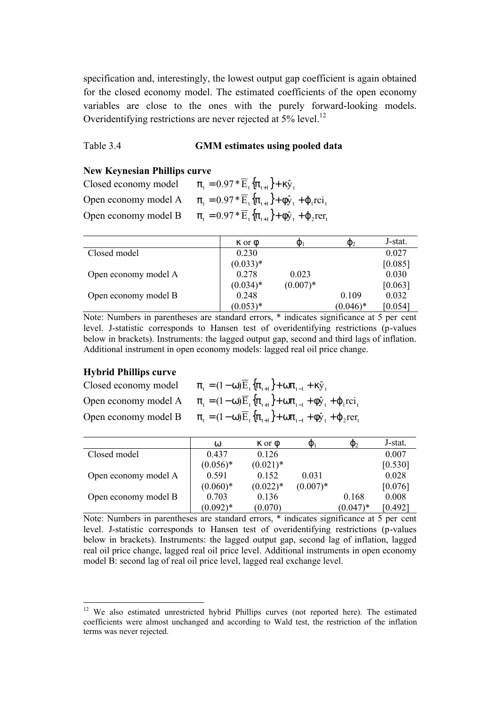specification and, interestingly, the lowest output gap coefficient is again obtained for the closed economy model. The estimated coefficients of the open economy variables are close to the ones with the purely forward-looking models. Overidentifying restrictions are never rejected at 5% level.<sup>12</sup>

#### Table 3.4 **GMM estimates using pooled data**

#### **New Keynesian Phillips curve**

| Closed economy model $\pi_t = 0.97 \times \overline{E}_t \{\pi_{t+1}\} + \kappa \hat{y}_t$ |                                                                                                                |
|--------------------------------------------------------------------------------------------|----------------------------------------------------------------------------------------------------------------|
|                                                                                            | Open economy model A $\pi_t = 0.97 \times \overline{E}_t \{\pi_{t+1}\} + \phi \hat{y}_t + \phi_1 \text{rci}_t$ |
|                                                                                            | Open economy model B $\pi_t = 0.97 \times \overline{E}_t \{\pi_{t+1}\} + \phi \hat{y}_t + \phi_2 \text{rer}_t$ |

|                      | $\kappa$ or $\phi$ | $\mathbf{0}_1$ | $\mathbf{\Phi}_2$ | J-stat. |
|----------------------|--------------------|----------------|-------------------|---------|
| Closed model         | 0.230              |                |                   | 0.027   |
|                      | $(0.033)*$         |                |                   | [0.085] |
| Open economy model A | 0.278              | 0.023          |                   | 0.030   |
|                      | $(0.034)*$         | $(0.007)*$     |                   | [0.063] |
| Open economy model B | 0.248              |                | 0.109             | 0.032   |
|                      | $(0.053)*$         |                | $(0.046)*$        | [0.054] |

Note: Numbers in parentheses are standard errors, \* indicates significance at 5 per cent level. J-statistic corresponds to Hansen test of overidentifying restrictions (p-values below in brackets). Instruments: the lagged output gap, second and third lags of inflation. Additional instrument in open economy models: lagged real oil price change.

#### **Hybrid Phillips curve**

 $\overline{a}$ 

| Closed economy model $\pi_t = (1 - \omega) \overline{E}_t \{\pi_{t+1}\} + \omega \pi_{t-1} + \kappa \hat{y}_t$                     |
|------------------------------------------------------------------------------------------------------------------------------------|
| Open economy model A $\pi_t = (1 - \omega) \overline{E}_t \{\pi_{t+1}\} + \omega \pi_{t-1} + \phi \hat{y}_t + \phi_1 \text{rci}_t$ |
| Open economy model B $\pi_t = (1 - \omega) \overline{E}_t \{\pi_{t+1}\} + \omega \pi_{t-1} + \phi \hat{y}_t + \phi_2 \text{rer}_t$ |

|                      | $\omega$   | $\kappa$ or $\phi$ | $\mathbf{O}_1$ | $\mathbf{\Phi}_2$ | J-stat. |
|----------------------|------------|--------------------|----------------|-------------------|---------|
| Closed model         | 0.437      | 0.126              |                |                   | 0.007   |
|                      | $(0.056)*$ | $(0.021)$ *        |                |                   | [0.530] |
| Open economy model A | 0.591      | 0.152              | 0.031          |                   | 0.028   |
|                      | $(0.060)*$ | $(0.022)*$         | $(0.007)*$     |                   | [0.076] |
| Open economy model B | 0.703      | 0.136              |                | 0.168             | 0.008   |
|                      | $(0.092)*$ | (0.070)            |                | $(0.047)^*$       | [0.492] |

Note: Numbers in parentheses are standard errors, \* indicates significance at 5 per cent level. J-statistic corresponds to Hansen test of overidentifying restrictions (p-values below in brackets). Instruments: the lagged output gap, second lag of inflation, lagged real oil price change, lagged real oil price level. Additional instruments in open economy model B: second lag of real oil price level, lagged real exchange level.

<sup>&</sup>lt;sup>12</sup> We also estimated unrestricted hybrid Phillips curves (not reported here). The estimated coefficients were almost unchanged and according to Wald test, the restriction of the inflation terms was never rejected.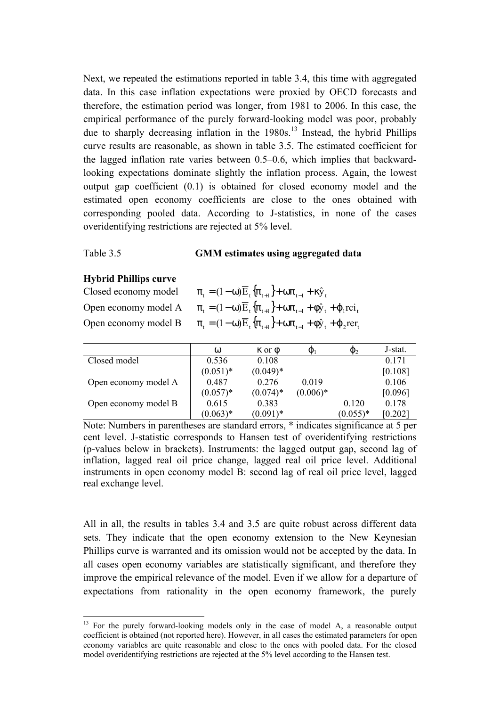Next, we repeated the estimations reported in table 3.4, this time with aggregated data. In this case inflation expectations were proxied by OECD forecasts and therefore, the estimation period was longer, from 1981 to 2006. In this case, the empirical performance of the purely forward-looking model was poor, probably due to sharply decreasing inflation in the 1980s.<sup>13</sup> Instead, the hybrid Phillips curve results are reasonable, as shown in table 3.5. The estimated coefficient for the lagged inflation rate varies between 0.5–0.6, which implies that backwardlooking expectations dominate slightly the inflation process. Again, the lowest output gap coefficient (0.1) is obtained for closed economy model and the estimated open economy coefficients are close to the ones obtained with corresponding pooled data. According to J-statistics, in none of the cases overidentifying restrictions are rejected at 5% level.

#### Table 3.5 **GMM estimates using aggregated data**

#### **Hybrid Phillips curve**

 $\overline{a}$ 

Closed economy model  $\qquad \pi_{t} = (1 - \omega) \overline{\mathrm{E}}_{t} \{ \pi_{t+1} \} + \omega \pi_{t-1} + \kappa \hat{\mathrm{y}}_{t}$ Open economy model A  $\pi_{\cdot} = (1 - \omega) \overline{\mathrm{E}}_{\cdot} \{\pi_{\cdot} \cdot \} + \omega \pi_{\cdot} + \phi \hat{\mathrm{y}}_{\cdot} + \phi_{\cdot} \text{rci}_{\cdot}$ Open economy model B  $\pi_{\cdot} = (1 - \omega) \overline{\mathrm{E}}_{\cdot} \{ \pi_{\cdot} \cdot \} + \omega \pi_{\cdot} + \phi \hat{\mathrm{y}}_{\cdot} + \phi_{\cdot} \text{ref.}$ 

|                      | ω           | $\kappa$ or $\phi$ | $\mathbf{\Phi}_1$ | $\varphi_2$ | J-stat. |
|----------------------|-------------|--------------------|-------------------|-------------|---------|
| Closed model         | 0.536       | 0.108              |                   |             | 0.171   |
|                      | $(0.051)^*$ | $(0.049)*$         |                   |             | [0.108] |
| Open economy model A | 0.487       | 0.276              | 0.019             |             | 0.106   |
|                      | $(0.057)*$  | $(0.074)*$         | $(0.006)*$        |             | [0.096] |
| Open economy model B | 0.615       | 0.383              |                   | 0.120       | 0.178   |
|                      | $(0.063)*$  | $(0.091)^*$        |                   | $(0.055)*$  | [0.202] |

Note: Numbers in parentheses are standard errors, \* indicates significance at 5 per cent level. J-statistic corresponds to Hansen test of overidentifying restrictions (p-values below in brackets). Instruments: the lagged output gap, second lag of inflation, lagged real oil price change, lagged real oil price level. Additional instruments in open economy model B: second lag of real oil price level, lagged real exchange level.

All in all, the results in tables 3.4 and 3.5 are quite robust across different data sets. They indicate that the open economy extension to the New Keynesian Phillips curve is warranted and its omission would not be accepted by the data. In all cases open economy variables are statistically significant, and therefore they improve the empirical relevance of the model. Even if we allow for a departure of expectations from rationality in the open economy framework, the purely

<sup>&</sup>lt;sup>13</sup> For the purely forward-looking models only in the case of model A, a reasonable output coefficient is obtained (not reported here). However, in all cases the estimated parameters for open economy variables are quite reasonable and close to the ones with pooled data. For the closed model overidentifying restrictions are rejected at the 5% level according to the Hansen test.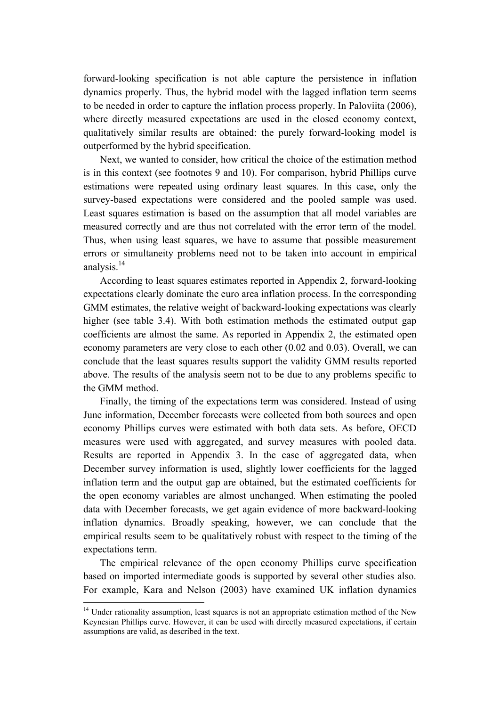forward-looking specification is not able capture the persistence in inflation dynamics properly. Thus, the hybrid model with the lagged inflation term seems to be needed in order to capture the inflation process properly. In Paloviita (2006), where directly measured expectations are used in the closed economy context, qualitatively similar results are obtained: the purely forward-looking model is outperformed by the hybrid specification.

Next, we wanted to consider, how critical the choice of the estimation method is in this context (see footnotes 9 and 10). For comparison, hybrid Phillips curve estimations were repeated using ordinary least squares. In this case, only the survey-based expectations were considered and the pooled sample was used. Least squares estimation is based on the assumption that all model variables are measured correctly and are thus not correlated with the error term of the model. Thus, when using least squares, we have to assume that possible measurement errors or simultaneity problems need not to be taken into account in empirical analysis. $14$ 

According to least squares estimates reported in Appendix 2, forward-looking expectations clearly dominate the euro area inflation process. In the corresponding GMM estimates, the relative weight of backward-looking expectations was clearly higher (see table 3.4). With both estimation methods the estimated output gap coefficients are almost the same. As reported in Appendix 2, the estimated open economy parameters are very close to each other (0.02 and 0.03). Overall, we can conclude that the least squares results support the validity GMM results reported above. The results of the analysis seem not to be due to any problems specific to the GMM method.

Finally, the timing of the expectations term was considered. Instead of using June information, December forecasts were collected from both sources and open economy Phillips curves were estimated with both data sets. As before, OECD measures were used with aggregated, and survey measures with pooled data. Results are reported in Appendix 3. In the case of aggregated data, when December survey information is used, slightly lower coefficients for the lagged inflation term and the output gap are obtained, but the estimated coefficients for the open economy variables are almost unchanged. When estimating the pooled data with December forecasts, we get again evidence of more backward-looking inflation dynamics. Broadly speaking, however, we can conclude that the empirical results seem to be qualitatively robust with respect to the timing of the expectations term.

The empirical relevance of the open economy Phillips curve specification based on imported intermediate goods is supported by several other studies also. For example, Kara and Nelson (2003) have examined UK inflation dynamics

 $\overline{a}$ 

<sup>&</sup>lt;sup>14</sup> Under rationality assumption, least squares is not an appropriate estimation method of the New Keynesian Phillips curve. However, it can be used with directly measured expectations, if certain assumptions are valid, as described in the text.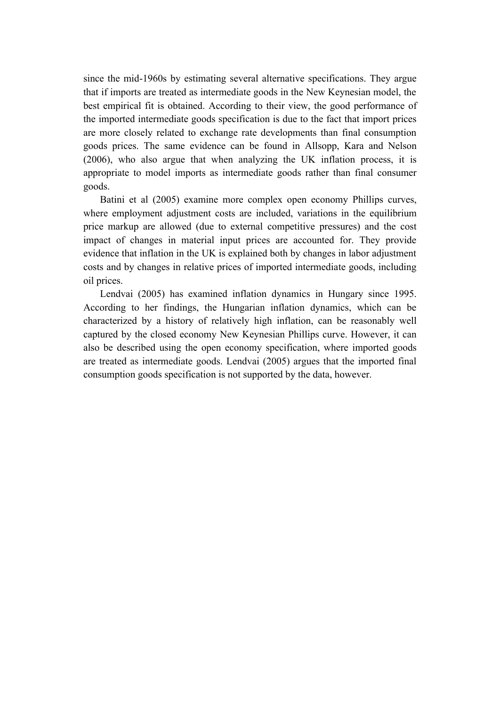since the mid-1960s by estimating several alternative specifications. They argue that if imports are treated as intermediate goods in the New Keynesian model, the best empirical fit is obtained. According to their view, the good performance of the imported intermediate goods specification is due to the fact that import prices are more closely related to exchange rate developments than final consumption goods prices. The same evidence can be found in Allsopp, Kara and Nelson (2006), who also argue that when analyzing the UK inflation process, it is appropriate to model imports as intermediate goods rather than final consumer goods.

Batini et al (2005) examine more complex open economy Phillips curves, where employment adjustment costs are included, variations in the equilibrium price markup are allowed (due to external competitive pressures) and the cost impact of changes in material input prices are accounted for. They provide evidence that inflation in the UK is explained both by changes in labor adjustment costs and by changes in relative prices of imported intermediate goods, including oil prices.

Lendvai (2005) has examined inflation dynamics in Hungary since 1995. According to her findings, the Hungarian inflation dynamics, which can be characterized by a history of relatively high inflation, can be reasonably well captured by the closed economy New Keynesian Phillips curve. However, it can also be described using the open economy specification, where imported goods are treated as intermediate goods. Lendvai (2005) argues that the imported final consumption goods specification is not supported by the data, however.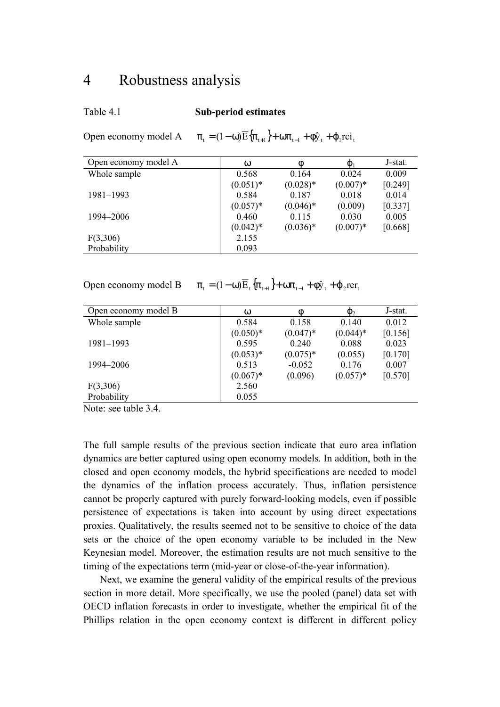### 4 Robustness analysis

#### Table 4.1 **Sub-period estimates**

| Open economy model A | $\omega$   |            | $\mathbf{\Phi}_1$ | J-stat. |
|----------------------|------------|------------|-------------------|---------|
| Whole sample         | 0.568      | 0.164      | 0.024             | 0.009   |
|                      | $(0.051)*$ | $(0.028)*$ | $(0.007)*$        | [0.249] |
| 1981-1993            | 0.584      | 0.187      | 0.018             | 0.014   |
|                      | $(0.057)*$ | $(0.046)*$ | (0.009)           | [0.337] |
| 1994-2006            | 0.460      | 0.115      | 0.030             | 0.005   |
|                      | $(0.042)*$ | $(0.036)*$ | $(0.007)*$        | [0.668] |
| F(3,306)             | 2.155      |            |                   |         |
| Probability          | 0.093      |            |                   |         |
|                      |            |            |                   |         |

Open economy model A  $\pi_{\cdot} = (1 - \omega) \overline{E} \{ \pi_{\cdot+1} \} + \omega \pi_{\cdot-1} + \phi \hat{y}_{\cdot} + \phi_1 \text{rci}_{\cdot}$ 

Open economy model B  $\pi_{\cdot} = (1 - \omega) \overline{E}_{\cdot} \{ \pi_{\cdot} \cdot \} + \omega \pi_{\cdot} + \phi \hat{y}_{\cdot} + \phi_{\cdot} \text{ref.}$ 

| Open economy model B | $\omega$   |             | $\mathbf{\Phi}_2$ | J-stat. |
|----------------------|------------|-------------|-------------------|---------|
| Whole sample         | 0.584      | 0.158       | 0.140             | 0.012   |
|                      | $(0.050)*$ | $(0.047)^*$ | $(0.044)*$        | [0.156] |
| 1981-1993            | 0.595      | 0.240       | 0.088             | 0.023   |
|                      | $(0.053)*$ | $(0.075)*$  | (0.055)           | [0.170] |
| 1994-2006            | 0.513      | $-0.052$    | 0.176             | 0.007   |
|                      | $(0.067)*$ | (0.096)     | $(0.057)*$        | [0.570] |
| F(3,306)             | 2.560      |             |                   |         |
| Probability          | 0.055      |             |                   |         |

Note: see table 3.4.

The full sample results of the previous section indicate that euro area inflation dynamics are better captured using open economy models. In addition, both in the closed and open economy models, the hybrid specifications are needed to model the dynamics of the inflation process accurately. Thus, inflation persistence cannot be properly captured with purely forward-looking models, even if possible persistence of expectations is taken into account by using direct expectations proxies. Qualitatively, the results seemed not to be sensitive to choice of the data sets or the choice of the open economy variable to be included in the New Keynesian model. Moreover, the estimation results are not much sensitive to the timing of the expectations term (mid-year or close-of-the-year information).

Next, we examine the general validity of the empirical results of the previous section in more detail. More specifically, we use the pooled (panel) data set with OECD inflation forecasts in order to investigate, whether the empirical fit of the Phillips relation in the open economy context is different in different policy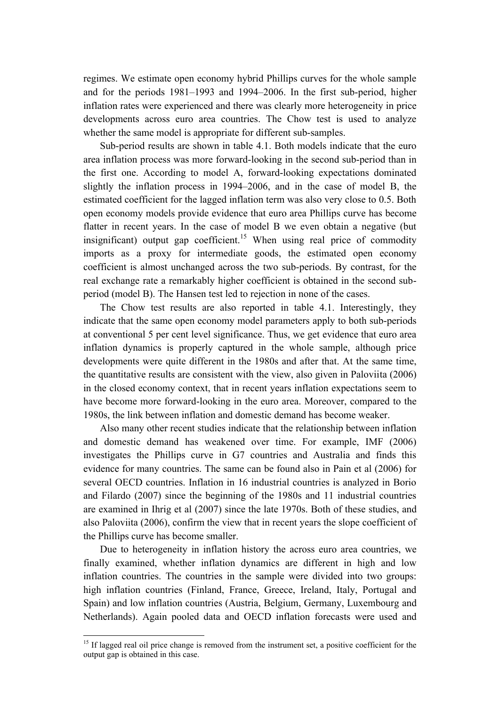regimes. We estimate open economy hybrid Phillips curves for the whole sample and for the periods 1981–1993 and 1994–2006. In the first sub-period, higher inflation rates were experienced and there was clearly more heterogeneity in price developments across euro area countries. The Chow test is used to analyze whether the same model is appropriate for different sub-samples.

Sub-period results are shown in table 4.1. Both models indicate that the euro area inflation process was more forward-looking in the second sub-period than in the first one. According to model A, forward-looking expectations dominated slightly the inflation process in 1994–2006, and in the case of model B, the estimated coefficient for the lagged inflation term was also very close to 0.5. Both open economy models provide evidence that euro area Phillips curve has become flatter in recent years. In the case of model B we even obtain a negative (but insignificant) output gap coefficient.<sup>15</sup> When using real price of commodity imports as a proxy for intermediate goods, the estimated open economy coefficient is almost unchanged across the two sub-periods. By contrast, for the real exchange rate a remarkably higher coefficient is obtained in the second subperiod (model B). The Hansen test led to rejection in none of the cases.

The Chow test results are also reported in table 4.1. Interestingly, they indicate that the same open economy model parameters apply to both sub-periods at conventional 5 per cent level significance. Thus, we get evidence that euro area inflation dynamics is properly captured in the whole sample, although price developments were quite different in the 1980s and after that. At the same time, the quantitative results are consistent with the view, also given in Paloviita (2006) in the closed economy context, that in recent years inflation expectations seem to have become more forward-looking in the euro area. Moreover, compared to the 1980s, the link between inflation and domestic demand has become weaker.

Also many other recent studies indicate that the relationship between inflation and domestic demand has weakened over time. For example, IMF (2006) investigates the Phillips curve in G7 countries and Australia and finds this evidence for many countries. The same can be found also in Pain et al (2006) for several OECD countries. Inflation in 16 industrial countries is analyzed in Borio and Filardo (2007) since the beginning of the 1980s and 11 industrial countries are examined in Ihrig et al (2007) since the late 1970s. Both of these studies, and also Paloviita (2006), confirm the view that in recent years the slope coefficient of the Phillips curve has become smaller.

Due to heterogeneity in inflation history the across euro area countries, we finally examined, whether inflation dynamics are different in high and low inflation countries. The countries in the sample were divided into two groups: high inflation countries (Finland, France, Greece, Ireland, Italy, Portugal and Spain) and low inflation countries (Austria, Belgium, Germany, Luxembourg and Netherlands). Again pooled data and OECD inflation forecasts were used and

 $\overline{a}$ 

<sup>&</sup>lt;sup>15</sup> If lagged real oil price change is removed from the instrument set, a positive coefficient for the output gap is obtained in this case.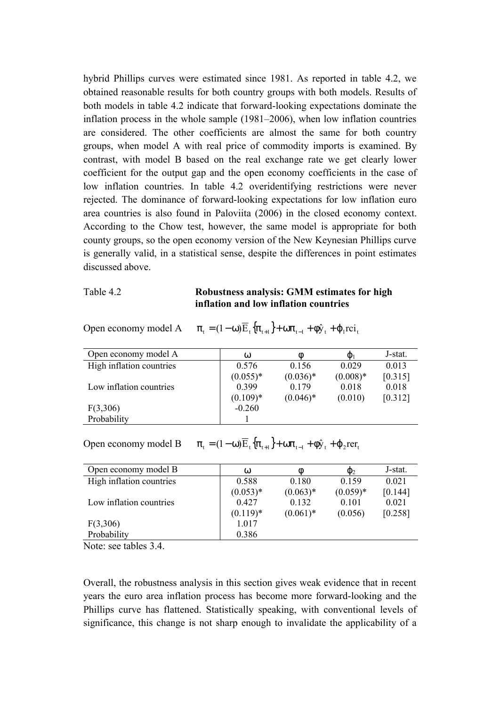hybrid Phillips curves were estimated since 1981. As reported in table 4.2, we obtained reasonable results for both country groups with both models. Results of both models in table 4.2 indicate that forward-looking expectations dominate the inflation process in the whole sample (1981–2006), when low inflation countries are considered. The other coefficients are almost the same for both country groups, when model A with real price of commodity imports is examined. By contrast, with model B based on the real exchange rate we get clearly lower coefficient for the output gap and the open economy coefficients in the case of low inflation countries. In table 4.2 overidentifying restrictions were never rejected. The dominance of forward-looking expectations for low inflation euro area countries is also found in Paloviita (2006) in the closed economy context. According to the Chow test, however, the same model is appropriate for both county groups, so the open economy version of the New Keynesian Phillips curve is generally valid, in a statistical sense, despite the differences in point estimates discussed above.

#### Table 4.2 **Robustness analysis: GMM estimates for high inflation and low inflation countries**

| Open economy model A     | $\omega$   |             | $\mathbf{\Phi}_1$ | J-stat. |
|--------------------------|------------|-------------|-------------------|---------|
| High inflation countries | 0.576      | 0.156       | 0.029             | 0.013   |
|                          | $(0.055)*$ | $(0.036)*$  | $(0.008)*$        | [0.315] |
| Low inflation countries  | 0.399      | 0.179       | 0.018             | 0.018   |
|                          | $(0.109)*$ | $(0.046)^*$ | (0.010)           | [0.312] |
| F(3,306)                 | $-0.260$   |             |                   |         |
| Probability              |            |             |                   |         |

Open economy model A  $\pi_{\tau} = (1 - \omega) \overline{E}_{\tau} \{\pi_{\tau+1}\} + \omega \pi_{\tau-1} + \phi \hat{v}_{\tau} + \phi_1 \text{rci}_{\tau}$ 

Open economy model B  $\pi_{\cdot} = (1 - \omega) \overline{E}_{\cdot} \{ \pi_{\cdot} \cdot \} + \omega \pi_{\cdot} + \phi \hat{y}_{\cdot} + \phi_{\cdot} \text{ref.}$ 

| Open economy model B     | $\omega$   |             | $\Phi_2$   | J-stat. |
|--------------------------|------------|-------------|------------|---------|
| High inflation countries | 0.588      | 0.180       | 0.159      | 0.021   |
|                          | $(0.053)*$ | $(0.063)*$  | $(0.059)*$ | [0.144] |
| Low inflation countries  | 0.427      | 0.132       | 0.101      | 0.021   |
|                          | $(0.119)*$ | $(0.061)^*$ | (0.056)    | [0.258] |
| F(3,306)                 | 1.017      |             |            |         |
| Probability              | 0.386      |             |            |         |
|                          |            |             |            |         |

Note: see tables 3.4.

Overall, the robustness analysis in this section gives weak evidence that in recent years the euro area inflation process has become more forward-looking and the Phillips curve has flattened. Statistically speaking, with conventional levels of significance, this change is not sharp enough to invalidate the applicability of a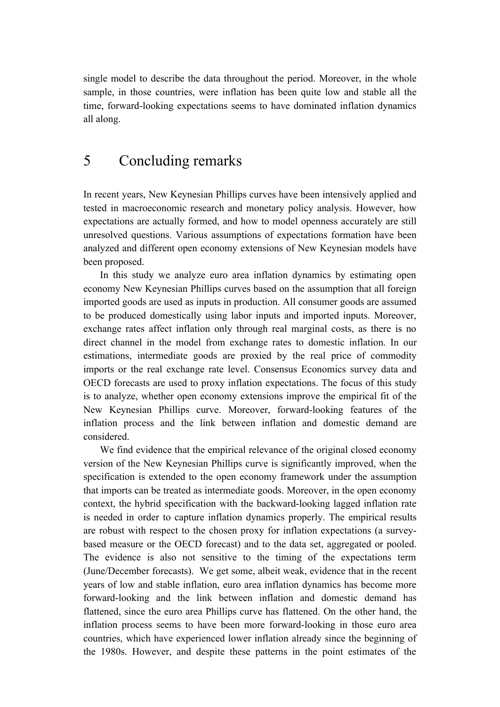single model to describe the data throughout the period. Moreover, in the whole sample, in those countries, were inflation has been quite low and stable all the time, forward-looking expectations seems to have dominated inflation dynamics all along.

### 5 Concluding remarks

In recent years, New Keynesian Phillips curves have been intensively applied and tested in macroeconomic research and monetary policy analysis. However, how expectations are actually formed, and how to model openness accurately are still unresolved questions. Various assumptions of expectations formation have been analyzed and different open economy extensions of New Keynesian models have been proposed.

In this study we analyze euro area inflation dynamics by estimating open economy New Keynesian Phillips curves based on the assumption that all foreign imported goods are used as inputs in production. All consumer goods are assumed to be produced domestically using labor inputs and imported inputs. Moreover, exchange rates affect inflation only through real marginal costs, as there is no direct channel in the model from exchange rates to domestic inflation. In our estimations, intermediate goods are proxied by the real price of commodity imports or the real exchange rate level. Consensus Economics survey data and OECD forecasts are used to proxy inflation expectations. The focus of this study is to analyze, whether open economy extensions improve the empirical fit of the New Keynesian Phillips curve. Moreover, forward-looking features of the inflation process and the link between inflation and domestic demand are considered.

We find evidence that the empirical relevance of the original closed economy version of the New Keynesian Phillips curve is significantly improved, when the specification is extended to the open economy framework under the assumption that imports can be treated as intermediate goods. Moreover, in the open economy context, the hybrid specification with the backward-looking lagged inflation rate is needed in order to capture inflation dynamics properly. The empirical results are robust with respect to the chosen proxy for inflation expectations (a surveybased measure or the OECD forecast) and to the data set, aggregated or pooled. The evidence is also not sensitive to the timing of the expectations term (June/December forecasts). We get some, albeit weak, evidence that in the recent years of low and stable inflation, euro area inflation dynamics has become more forward-looking and the link between inflation and domestic demand has flattened, since the euro area Phillips curve has flattened. On the other hand, the inflation process seems to have been more forward-looking in those euro area countries, which have experienced lower inflation already since the beginning of the 1980s. However, and despite these patterns in the point estimates of the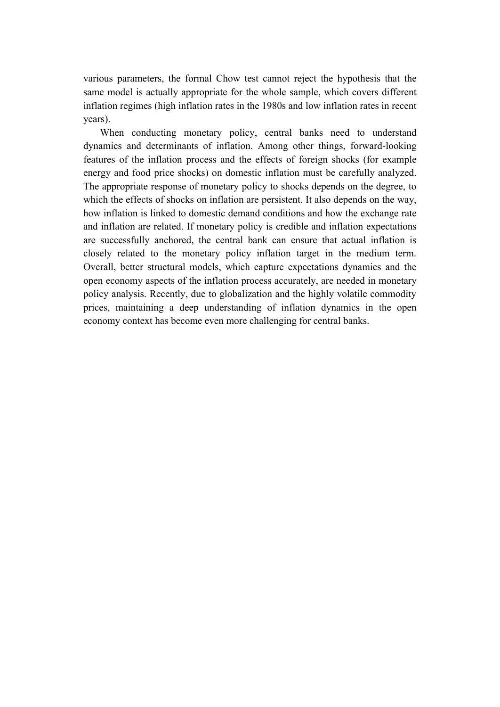various parameters, the formal Chow test cannot reject the hypothesis that the same model is actually appropriate for the whole sample, which covers different inflation regimes (high inflation rates in the 1980s and low inflation rates in recent years).

When conducting monetary policy, central banks need to understand dynamics and determinants of inflation. Among other things, forward-looking features of the inflation process and the effects of foreign shocks (for example energy and food price shocks) on domestic inflation must be carefully analyzed. The appropriate response of monetary policy to shocks depends on the degree, to which the effects of shocks on inflation are persistent. It also depends on the way, how inflation is linked to domestic demand conditions and how the exchange rate and inflation are related. If monetary policy is credible and inflation expectations are successfully anchored, the central bank can ensure that actual inflation is closely related to the monetary policy inflation target in the medium term. Overall, better structural models, which capture expectations dynamics and the open economy aspects of the inflation process accurately, are needed in monetary policy analysis. Recently, due to globalization and the highly volatile commodity prices, maintaining a deep understanding of inflation dynamics in the open economy context has become even more challenging for central banks.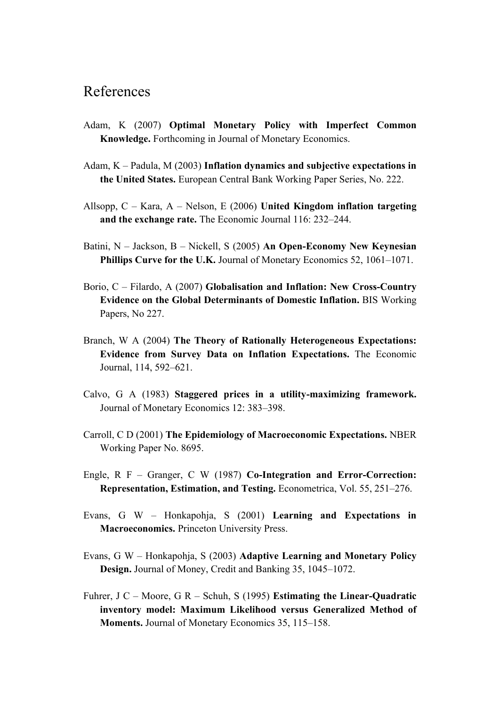### References

- Adam, K (2007) **Optimal Monetary Policy with Imperfect Common Knowledge.** Forthcoming in Journal of Monetary Economics.
- Adam, K Padula, M (2003) **Inflation dynamics and subjective expectations in the United States.** European Central Bank Working Paper Series, No. 222.
- Allsopp, C Kara, A Nelson, E (2006) **United Kingdom inflation targeting and the exchange rate.** The Economic Journal 116: 232–244.
- Batini, N Jackson, B Nickell, S (2005) **An Open-Economy New Keynesian Phillips Curve for the U.K.** Journal of Monetary Economics 52, 1061–1071.
- Borio, C Filardo, A (2007) **Globalisation and Inflation: New Cross-Country Evidence on the Global Determinants of Domestic Inflation.** BIS Working Papers, No 227.
- Branch, W A (2004) **The Theory of Rationally Heterogeneous Expectations: Evidence from Survey Data on Inflation Expectations.** The Economic Journal, 114, 592–621.
- Calvo, G A (1983) **Staggered prices in a utility-maximizing framework.** Journal of Monetary Economics 12: 383–398.
- Carroll, C D (2001) **The Epidemiology of Macroeconomic Expectations.** NBER Working Paper No. 8695.
- Engle, R F Granger, C W (1987) **Co-Integration and Error-Correction: Representation, Estimation, and Testing.** Econometrica, Vol. 55, 251–276.
- Evans, G W Honkapohja, S (2001) **Learning and Expectations in Macroeconomics.** Princeton University Press.
- Evans, G W Honkapohja, S (2003) **Adaptive Learning and Monetary Policy Design.** Journal of Money, Credit and Banking 35, 1045–1072.
- Fuhrer, J C Moore, G R Schuh, S (1995) **Estimating the Linear-Quadratic inventory model: Maximum Likelihood versus Generalized Method of Moments.** Journal of Monetary Economics 35, 115–158.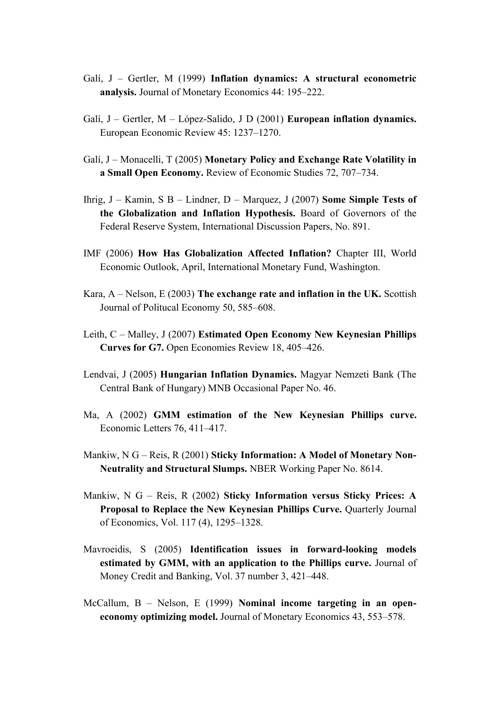- Galí, J Gertler, M (1999) **Inflation dynamics: A structural econometric analysis.** Journal of Monetary Economics 44: 195–222.
- Galí, J Gertler, M López-Salido, J D (2001) **European inflation dynamics.** European Economic Review 45: 1237–1270.
- Galí, J Monacelli, T (2005) **Monetary Policy and Exchange Rate Volatility in a Small Open Economy.** Review of Economic Studies 72, 707–734.
- Ihrig, J Kamin, S B Lindner, D Marquez, J (2007) **Some Simple Tests of the Globalization and Inflation Hypothesis.** Board of Governors of the Federal Reserve System, International Discussion Papers, No. 891.
- IMF (2006) **How Has Globalization Affected Inflation?** Chapter III, World Economic Outlook, April, International Monetary Fund, Washington.
- Kara, A Nelson, E (2003) **The exchange rate and inflation in the UK.** Scottish Journal of Politucal Economy 50, 585–608.
- Leith, C Malley, J (2007) **Estimated Open Economy New Keynesian Phillips Curves for G7.** Open Economies Review 18, 405–426.
- Lendvai, J (2005) **Hungarian Inflation Dynamics.** Magyar Nemzeti Bank (The Central Bank of Hungary) MNB Occasional Paper No. 46.
- Ma, A (2002) **GMM estimation of the New Keynesian Phillips curve.** Economic Letters 76, 411–417.
- Mankiw, N G Reis, R (2001) **Sticky Information: A Model of Monetary Non-Neutrality and Structural Slumps.** NBER Working Paper No. 8614.
- Mankiw, N G Reis, R (2002) **Sticky Information versus Sticky Prices: A Proposal to Replace the New Keynesian Phillips Curve.** Quarterly Journal of Economics, Vol. 117 (4), 1295–1328.
- Mavroeidis, S (2005) **Identification issues in forward-looking models estimated by GMM, with an application to the Phillips curve.** Journal of Money Credit and Banking, Vol. 37 number 3, 421–448.
- McCallum, B Nelson, E (1999) **Nominal income targeting in an openeconomy optimizing model.** Journal of Monetary Economics 43, 553–578.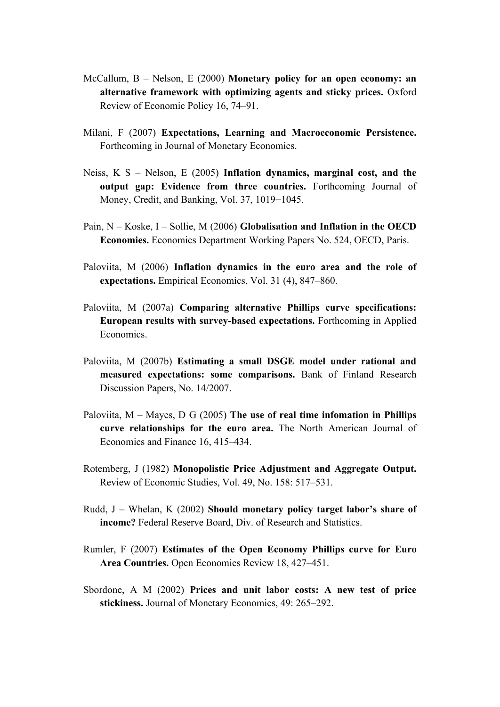- McCallum, B Nelson, E (2000) **Monetary policy for an open economy: an alternative framework with optimizing agents and sticky prices.** Oxford Review of Economic Policy 16, 74–91.
- Milani, F (2007) **Expectations, Learning and Macroeconomic Persistence.** Forthcoming in Journal of Monetary Economics.
- Neiss, K S Nelson, E (2005) **Inflation dynamics, marginal cost, and the output gap: Evidence from three countries.** Forthcoming Journal of Money, Credit, and Banking, Vol. 37, 1019−1045.
- Pain, N Koske, I Sollie, M (2006) **Globalisation and Inflation in the OECD Economies.** Economics Department Working Papers No. 524, OECD, Paris.
- Paloviita, M (2006) **Inflation dynamics in the euro area and the role of expectations.** Empirical Economics, Vol. 31 (4), 847–860.
- Paloviita, M (2007a) **Comparing alternative Phillips curve specifications: European results with survey-based expectations.** Forthcoming in Applied Economics.
- Paloviita, M (2007b) **Estimating a small DSGE model under rational and measured expectations: some comparisons.** Bank of Finland Research Discussion Papers, No. 14/2007.
- Paloviita, M Mayes, D G (2005) **The use of real time infomation in Phillips curve relationships for the euro area.** The North American Journal of Economics and Finance 16, 415–434.
- Rotemberg, J (1982) **Monopolistic Price Adjustment and Aggregate Output.** Review of Economic Studies, Vol. 49, No. 158: 517–531.
- Rudd, J Whelan, K (2002) **Should monetary policy target labor's share of income?** Federal Reserve Board, Div. of Research and Statistics.
- Rumler, F (2007) **Estimates of the Open Economy Phillips curve for Euro Area Countries.** Open Economics Review 18, 427–451.
- Sbordone, A M (2002) **Prices and unit labor costs: A new test of price stickiness.** Journal of Monetary Economics, 49: 265–292.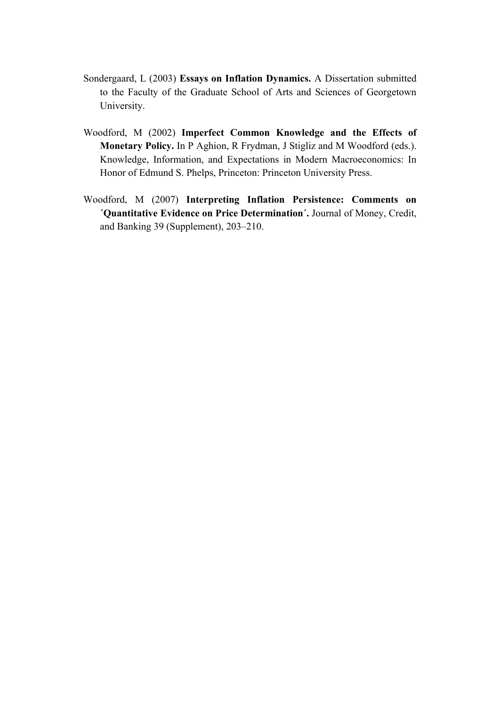- Sondergaard, L (2003) **Essays on Inflation Dynamics.** A Dissertation submitted to the Faculty of the Graduate School of Arts and Sciences of Georgetown University.
- Woodford, M (2002) **Imperfect Common Knowledge and the Effects of Monetary Policy.** In P Aghion, R Frydman, J Stigliz and M Woodford (eds.). Knowledge, Information, and Expectations in Modern Macroeconomics: In Honor of Edmund S. Phelps, Princeton: Princeton University Press.
- Woodford, M (2007) **Interpreting Inflation Persistence: Comments on ´Quantitative Evidence on Price Determination´.** Journal of Money, Credit, and Banking 39 (Supplement), 203–210.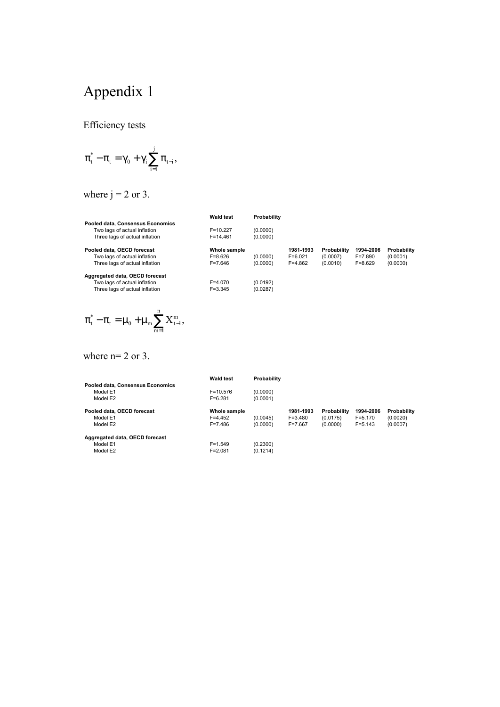# Appendix 1

### Efficiency tests

$$
\pi^*_t-\pi_t=\gamma_0+\gamma_i\sum_{i=1}^j\pi_{t-i},
$$

where 
$$
j = 2
$$
 or 3.

|                                  | <b>Wald test</b> | Probability |             |             |             |             |
|----------------------------------|------------------|-------------|-------------|-------------|-------------|-------------|
| Pooled data, Consensus Economics |                  |             |             |             |             |             |
| Two lags of actual inflation     | $F = 10.227$     | (0.0000)    |             |             |             |             |
| Three lags of actual inflation   | $F = 14.461$     | (0.0000)    |             |             |             |             |
| Pooled data, OECD forecast       | Whole sample     |             | 1981-1993   | Probability | 1994-2006   | Probability |
| Two lags of actual inflation     | $F = 8.626$      | (0.0000)    | $F = 6.021$ | (0.0007)    | F=7.890     | (0.0001)    |
| Three lags of actual inflation   | $F = 7.646$      | (0.0000)    | $F = 4.862$ | (0.0010)    | $F = 8.629$ | (0.0000)    |
| Aggregated data, OECD forecast   |                  |             |             |             |             |             |
| Two lags of actual inflation     | $F = 4.070$      | (0.0192)    |             |             |             |             |
| Three lags of actual inflation   | $F = 3.345$      | (0.0287)    |             |             |             |             |

$$
\pi^*_t - \pi_t = \mu_0 + \mu_m \sum_{m=l}^n X^m_{t-l},
$$

where  $n=2$  or 3.

| <b>Wald test</b> | Probability |             |             |             |             |
|------------------|-------------|-------------|-------------|-------------|-------------|
|                  |             |             |             |             |             |
| $F = 10.576$     | (0.0000)    |             |             |             |             |
| $F = 6.281$      | (0.0001)    |             |             |             |             |
| Whole sample     |             | 1981-1993   | Probability | 1994-2006   | Probability |
| $F = 4.452$      | (0.0045)    | $F = 3.480$ | (0.0175)    | $F = 5.170$ | (0.0020)    |
| $F = 7.486$      | (0.0000)    | $F = 7.667$ | (0.0000)    | $F = 5.143$ | (0.0007)    |
|                  |             |             |             |             |             |
| $F = 1.549$      | (0.2300)    |             |             |             |             |
| $F = 2.081$      | (0.1214)    |             |             |             |             |
|                  |             |             |             |             |             |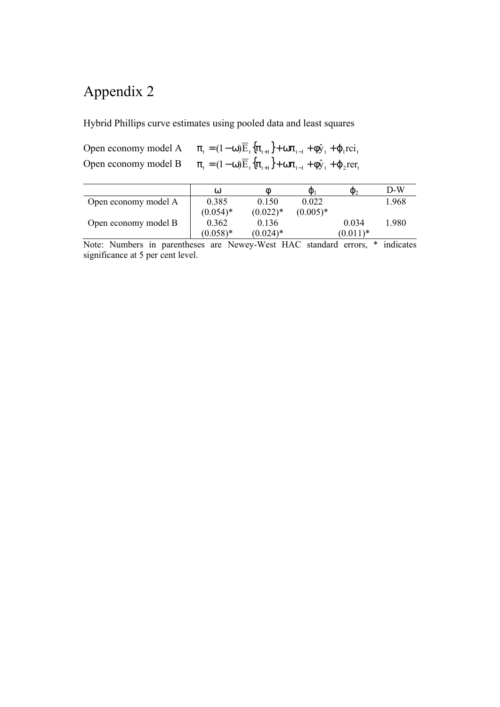# Appendix 2

Hybrid Phillips curve estimates using pooled data and least squares

Open economy model A  $\pi_t = (1 - \omega) \overline{E}_t \{ \pi_{t+1} \} + \omega \pi_{t-1} + \phi \hat{y}_t + \phi_1 \text{rci}_t$ Open economy model B  $\pi_t = (1 - \omega) \overline{E}_t \{ \pi_{t+1} \} + \omega \pi_{t-1} + \phi \hat{y}_t + \phi_2 \text{ref}_t$ 

|                      | ω          |            | (Dı         | $\mathsf{p}_2$ | D-W   |
|----------------------|------------|------------|-------------|----------------|-------|
| Open economy model A | 0.385      | 0.150      | 0.022       |                | l 968 |
|                      | $(0.054)*$ | $(0.022)*$ | $(0.005)^*$ |                |       |
| Open economy model B | 0.362      | 0.136      |             | 0.034          | 1.980 |
|                      | $(0.058)*$ | $(0.024)*$ |             | $(0.011)^*$    |       |

Note: Numbers in parentheses are Newey-West HAC standard errors, \* indicates significance at 5 per cent level.